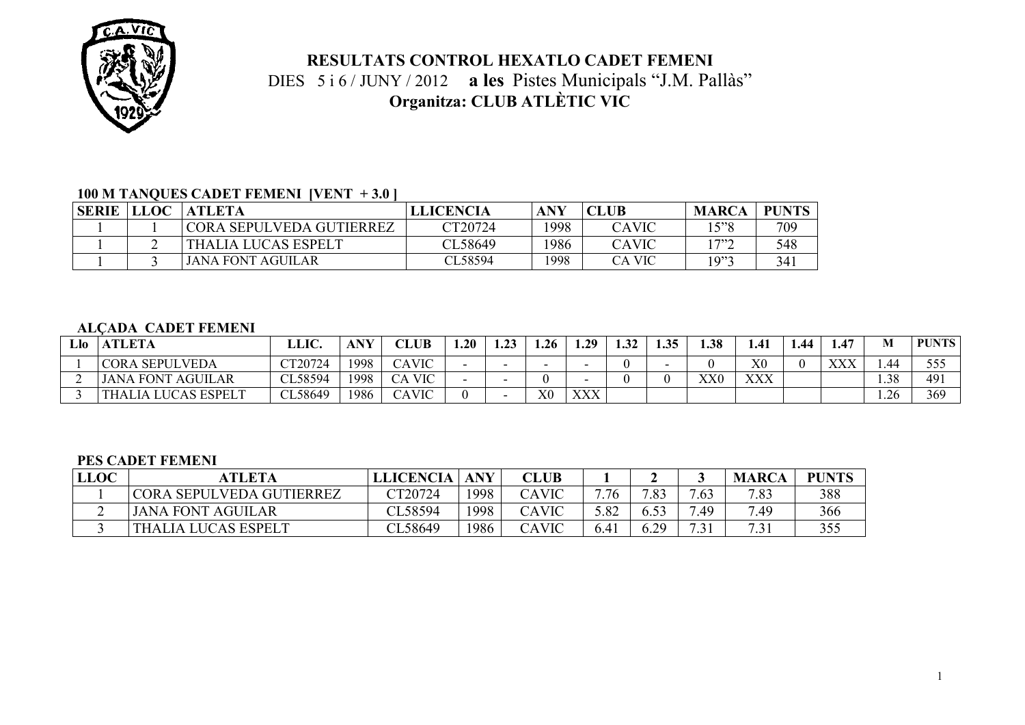

# **RESULTATS CONTROL HEXATLO CADET FEMENI**  DIES 5 i 6 / JUNY / 2012 **a les** Pistes Municipals "J.M. Pallàs" **Organitza: CLUB ATLÈTIC VIC**

### **100 M TANQUES CADET FEMENI [VENT + 3.0 ]**

| <b>SERIE</b> | <b>LLOC</b> | <b>ATLETA</b>            | <b>LLICENCIA</b> | ANY  | <b>CLUB</b> | <b>MARCA</b> | PUNTS |
|--------------|-------------|--------------------------|------------------|------|-------------|--------------|-------|
|              |             | CORA SEPULVEDA GUTIERREZ | $\text{T}20724$  | 1998 | CAVIC       | 15"8         | 709   |
|              |             | THALIA LUCAS ESPELT      | CL58649          | 1986 | CAVIC       | 1 7"^        | 548   |
|              |             | <b>JANA FONT AGUILAR</b> | CL58594          | '998 | CA VIC      | 2"10         | 341   |

#### **ALÇADA CADET FEMENI**

| Llo   ATLETA                    | LLIC.          | <b>ANY</b> | <b>CLUB</b>   | . . 20 | …∠ | 1.26           | 1.29 | 1.32 | 1.35 | .38          | 1.41           | 1.44 | $\mathbf{47}$<br>                      |      | <b>PUNTS</b> |
|---------------------------------|----------------|------------|---------------|--------|----|----------------|------|------|------|--------------|----------------|------|----------------------------------------|------|--------------|
| <b>CORA SEPULVEDA</b>           | <b>CT20724</b> | 1998       | <b>CAVIC</b>  |        |    |                |      |      |      |              | X <sub>0</sub> |      | <b>VVV</b><br>$\Delta \Delta \Delta T$ | 1.44 | - J - J      |
| <b>JANA FONT AGUILAR</b>        | CL58594        | 1998       | <b>CA VIC</b> |        |    |                |      |      |      | $_{\rm XX0}$ | XXX            |      |                                        | . 38 | 491          |
| LUCAS ESPELT<br><b>THALIA I</b> | CL58649        | 1986       | CAVIC         |        |    | X <sub>0</sub> | XXX  |      |      |              |                |      |                                        | . 26 | 369          |

#### **PES CADET FEMENI**

| <b>LLOC</b> | <b>ATLETA</b>            | LLICENCIA | <b>ANY</b> | <b>CLUB</b> |      |           |                     | <b>MARCA</b> | <b>PUNTS</b> |
|-------------|--------------------------|-----------|------------|-------------|------|-----------|---------------------|--------------|--------------|
|             | CORA SEPULVEDA GUTIERREZ | CT20724   | 1998       | CAVIC       | 7.76 | 702       | .63                 | 7.83         | 388          |
| ∸           | <b>JANA FONT AGUILAR</b> | CL58594   | 998        | CAVIC       | 5.82 |           | .49                 | 7.49         | 366          |
|             | THALIA LUCAS ESPELT      | CL58649   | 1986       | CAVIC       | 6.41 | 29<br>0.2 | 7.21<br>$\cdot$ . 1 | i            | JJ J         |